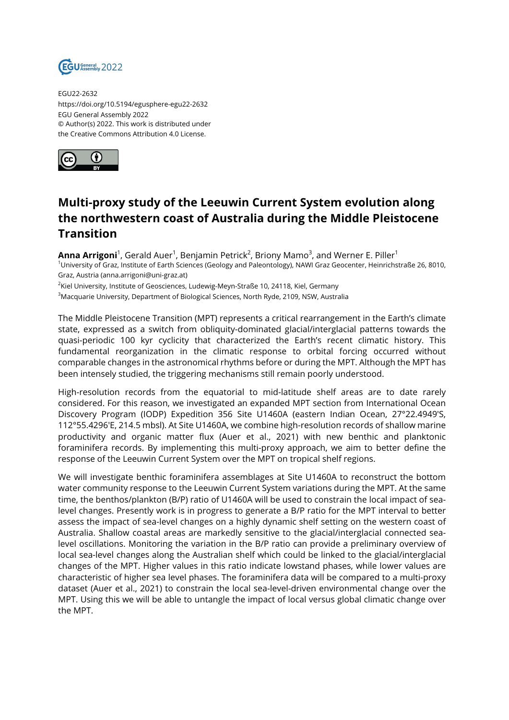

EGU22-2632 https://doi.org/10.5194/egusphere-egu22-2632 EGU General Assembly 2022 © Author(s) 2022. This work is distributed under the Creative Commons Attribution 4.0 License.



## **Multi-proxy study of the Leeuwin Current System evolution along the northwestern coast of Australia during the Middle Pleistocene Transition**

**Anna Arrigoni**<sup>1</sup>, Gerald Auer<sup>1</sup>, Benjamin Petrick<sup>2</sup>, Briony Mamo<sup>3</sup>, and Werner E. Piller<sup>1</sup> <sup>1</sup>University of Graz, Institute of Earth Sciences (Geology and Paleontology), NAWI Graz Geocenter, Heinrichstraße 26, 8010, Graz, Austria (anna.arrigoni@uni-graz.at)

 $^{2}$ Kiel University, Institute of Geosciences, Ludewig-Meyn-Straße 10, 24118, Kiel, Germany <sup>3</sup>Macquarie University, Department of Biological Sciences, North Ryde, 2109, NSW, Australia

The Middle Pleistocene Transition (MPT) represents a critical rearrangement in the Earth's climate state, expressed as a switch from obliquity-dominated glacial/interglacial patterns towards the quasi-periodic 100 kyr cyclicity that characterized the Earth's recent climatic history. This fundamental reorganization in the climatic response to orbital forcing occurred without comparable changes in the astronomical rhythms before or during the MPT. Although the MPT has been intensely studied, the triggering mechanisms still remain poorly understood.

High-resolution records from the equatorial to mid-latitude shelf areas are to date rarely considered. For this reason, we investigated an expanded MPT section from International Ocean Discovery Program (IODP) Expedition 356 Site U1460A (eastern Indian Ocean, 27°22.4949′S, 112°55.4296′E, 214.5 mbsl). At Site U1460A, we combine high-resolution records of shallow marine productivity and organic matter flux (Auer et al., 2021) with new benthic and planktonic foraminifera records. By implementing this multi-proxy approach, we aim to better define the response of the Leeuwin Current System over the MPT on tropical shelf regions.

We will investigate benthic foraminifera assemblages at Site U1460A to reconstruct the bottom water community response to the Leeuwin Current System variations during the MPT. At the same time, the benthos/plankton (B/P) ratio of U1460A will be used to constrain the local impact of sealevel changes. Presently work is in progress to generate a B/P ratio for the MPT interval to better assess the impact of sea-level changes on a highly dynamic shelf setting on the western coast of Australia. Shallow coastal areas are markedly sensitive to the glacial/interglacial connected sealevel oscillations. Monitoring the variation in the B/P ratio can provide a preliminary overview of local sea-level changes along the Australian shelf which could be linked to the glacial/interglacial changes of the MPT. Higher values in this ratio indicate lowstand phases, while lower values are characteristic of higher sea level phases. The foraminifera data will be compared to a multi-proxy dataset (Auer et al., 2021) to constrain the local sea-level-driven environmental change over the MPT. Using this we will be able to untangle the impact of local versus global climatic change over the MPT.